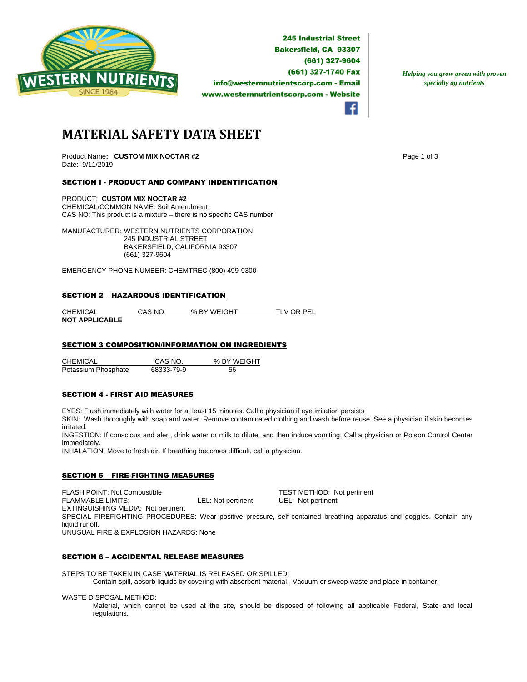

**245 Industrial Street Bakersfield, CA 93307** (661) 327-9604 (661) 327-1740 Fax info@westernnutrientscorp.com - Email www.westernnutrientscorp.com - Website

*Helping you grow green with proven specialty ag nutrients*

# **MATERIAL SAFETY DATA SHEET**

Product Name: **CUSTOM MIX NOCTAR #2** Page 1 of 3 Date: 9/11/2019

## SECTION I - PRODUCT AND COMPANY INDENTIFICATION

PRODUCT: **CUSTOM MIX NOCTAR #2** CHEMICAL/COMMON NAME: Soil Amendment CAS NO: This product is a mixture – there is no specific CAS number

MANUFACTURER: WESTERN NUTRIENTS CORPORATION 245 INDUSTRIAL STREET BAKERSFIELD, CALIFORNIA 93307 (661) 327-9604

EMERGENCY PHONE NUMBER: CHEMTREC (800) 499-9300

#### SECTION 2 – HAZARDOUS IDENTIFICATION

CHEMICAL CAS NO. % BY WEIGHT TLV OR PEL **NOT APPLICABLE** 

## SECTION 3 COMPOSITION/INFORMATION ON INGREDIENTS

CHEMICAL CAS NO. % BY WEIGHT Potassium Phosphate 68333-79-9 56

#### SECTION 4 - FIRST AID MEASURES

EYES: Flush immediately with water for at least 15 minutes. Call a physician if eye irritation persists

SKIN: Wash thoroughly with soap and water. Remove contaminated clothing and wash before reuse. See a physician if skin becomes irritated.

INGESTION: If conscious and alert, drink water or milk to dilute, and then induce vomiting. Call a physician or Poison Control Center immediately.

INHALATION: Move to fresh air. If breathing becomes difficult, call a physician.

#### SECTION 5 – FIRE-FIGHTING MEASURES

FLASH POINT: Not Combustible TEST METHOD: Not pertinent FLAMMABLE LIMITS: LEL: Not pertinent UEL: Not pertinent EXTINGUISHING MEDIA: Not pertinent SPECIAL FIREFIGHTING PROCEDURES: Wear positive pressure, self-contained breathing apparatus and goggles. Contain any liquid runoff. UNUSUAL FIRE & EXPLOSION HAZARDS: None

## SECTION 6 – ACCIDENTAL RELEASE MEASURES

STEPS TO BE TAKEN IN CASE MATERIAL IS RELEASED OR SPILLED:

Contain spill, absorb liquids by covering with absorbent material. Vacuum or sweep waste and place in container.

WASTE DISPOSAL METHOD:

Material, which cannot be used at the site, should be disposed of following all applicable Federal, State and local regulations.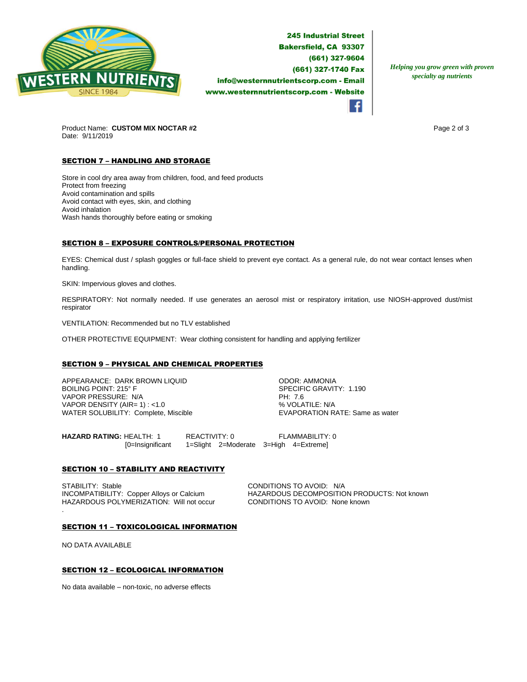

**245 Industrial Street Bakersfield, CA 93307** (661) 327-9604 (661) 327-1740 Fax info@westernnutrientscorp.com - Email www.westernnutrientscorp.com - Website

*Helping you grow green with proven specialty ag nutrients*

Product Name: CUSTOM MIX NOCTAR #2 **Page 2 of 3** Page 2 of 3 Date: 9/11/2019

# **SECTION 7 - HANDLING AND STORAGE**

Store in cool dry area away from children, food, and feed products Protect from freezing Avoid contamination and spills Avoid contact with eyes, skin, and clothing Avoid inhalation Wash hands thoroughly before eating or smoking

## SECTION 8 – EXPOSURE CONTROLS/PERSONAL PROTECTION

EYES: Chemical dust / splash goggles or full-face shield to prevent eye contact. As a general rule, do not wear contact lenses when handling.

SKIN: Impervious gloves and clothes.

RESPIRATORY: Not normally needed. If use generates an aerosol mist or respiratory irritation, use NIOSH-approved dust/mist respirator

VENTILATION: Recommended but no TLV established

OTHER PROTECTIVE EQUIPMENT: Wear clothing consistent for handling and applying fertilizer

## SECTION 9 – PHYSICAL AND CHEMICAL PROPERTIES

APPEARANCE: DARK BROWN LIQUID ODOR: AMMONIA VAPOR PRESSURE: N/A PH: 7.6 VAPOR DENSITY (AIR= 1) : <1.0<br>
WATER SOLUBILITY: Complete, Miscible  $\begin{array}{c} \text{WAYN} = \text{WAYN} \\ \text{WAYN} = \text{WAYN} \end{array}$ WATER SOLUBILITY: Complete, Miscible

SPECIFIC GRAVITY: 1.190

**HAZARD RATING:** HEALTH: 1 REACTIVITY: 0 FLAMMABILITY: 0 [0=Insignificant 1=Slight 2=Moderate 3=High 4=Extreme]

## **SECTION 10 - STABILITY AND REACTIVITY**

STABILITY: Stable Conper Alloys or Calcium CONDITIONS TO AVOID: N/A<br>
INCOMPATIBILITY: Copper Alloys or Calcium CHAZARDOUS DECOMPOSITIC HAZARDOUS POLYMERIZATION: Will not occur CONDITIONS TO AVOID: None known .

HAZARDOUS DECOMPOSITION PRODUCTS: Not known

#### SECTION 11 – TOXICOLOGICAL INFORMATION

NO DATA AVAILABLE

## SECTION 12 – ECOLOGICAL INFORMATION

No data available – non-toxic, no adverse effects